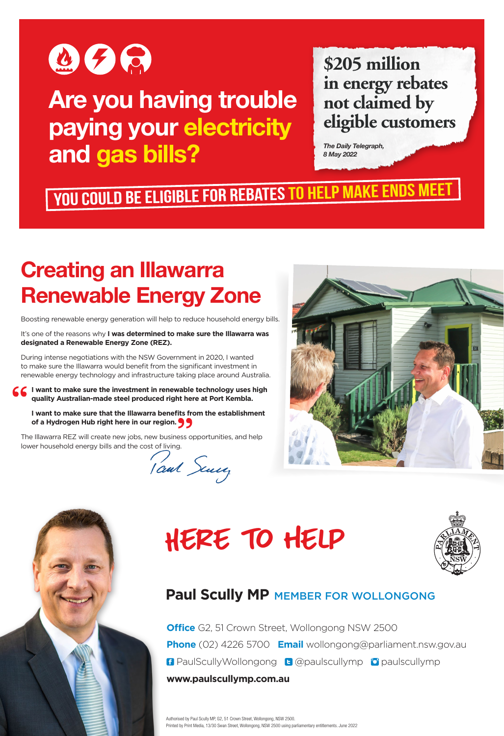

## **Are you having trouble paying your electricity and gas bills?**

## **\$205 million in energy rebates not claimed by eligible customers**

*The Daily Telegraph, 8 May 2022*

# You could be eligible for rebates to help make ends meet

## **Creating an Illawarra Renewable Energy Zone**

Boosting renewable energy generation will help to reduce household energy bills.

It's one of the reasons why **I was determined to make sure the Illawarra was designated a Renewable Energy Zone (REZ).**

During intense negotiations with the NSW Government in 2020, I wanted to make sure the Illawarra would benefit from the significant investment in renewable energy technology and infrastructure taking place around Australia.

**I want to make sure the investment in renewable technology uses high quality Australian-made steel produced right here at Port Kembla.**

**I want to make sure that the Illawarra benefits from the establishment of a Hydrogen Hub right here in our region.**

The Illawarra REZ will create new jobs, new business opportunities, and help

lower household energy bills and the cost of living.<br>
Could Scully







#### **Paul Scully MP** MEMBER FOR WOLLONGONG

**Office** G2, 51 Crown Street, Wollongong NSW 2500 **Phone** (02) 4226 5700 **Email** wollongong@parliament.nsw.gov.au **B** PaulScullyWollongong **B** @paulscullymp **D** paulscullymp **www.paulscullymp.com.au**